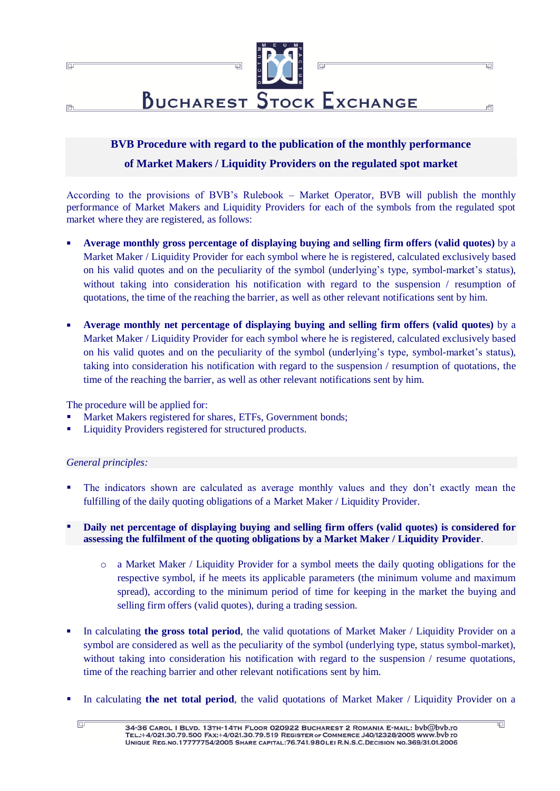

# **BVB Procedure with regard to the publication of the monthly performance of Market Makers / Liquidity Providers on the regulated spot market**

According to the provisions of BVB's Rulebook – Market Operator, BVB will publish the monthly performance of Market Makers and Liquidity Providers for each of the symbols from the regulated spot market where they are registered, as follows:

- **Average monthly gross percentage of displaying buying and selling firm offers (valid quotes)** by a Market Maker / Liquidity Provider for each symbol where he is registered, calculated exclusively based on his valid quotes and on the peculiarity of the symbol (underlying's type, symbol-market's status), without taking into consideration his notification with regard to the suspension / resumption of quotations, the time of the reaching the barrier, as well as other relevant notifications sent by him.
- **Average monthly net percentage of displaying buying and selling firm offers (valid quotes)** by a Market Maker / Liquidity Provider for each symbol where he is registered, calculated exclusively based on his valid quotes and on the peculiarity of the symbol (underlying's type, symbol-market's status), taking into consideration his notification with regard to the suspension / resumption of quotations, the time of the reaching the barrier, as well as other relevant notifications sent by him.

The procedure will be applied for:

- Market Makers registered for shares, ETFs, Government bonds;
- Liquidity Providers registered for structured products.

## *General principles:*

 $\Box$ 

- The indicators shown are calculated as average monthly values and they don't exactly mean the fulfilling of the daily quoting obligations of a Market Maker / Liquidity Provider.
- **Daily net percentage of displaying buying and selling firm offers (valid quotes) is considered for assessing the fulfilment of the quoting obligations by a Market Maker / Liquidity Provider**.
	- o a Market Maker / Liquidity Provider for a symbol meets the daily quoting obligations for the respective symbol, if he meets its applicable parameters (the minimum volume and maximum spread), according to the minimum period of time for keeping in the market the buying and selling firm offers (valid quotes), during a trading session.
- In calculating **the gross total period**, the valid quotations of Market Maker / Liquidity Provider on a symbol are considered as well as the peculiarity of the symbol (underlying type, status symbol-market), without taking into consideration his notification with regard to the suspension / resume quotations, time of the reaching barrier and other relevant notifications sent by him.
- In calculating **the net total period**, the valid quotations of Market Maker / Liquidity Provider on a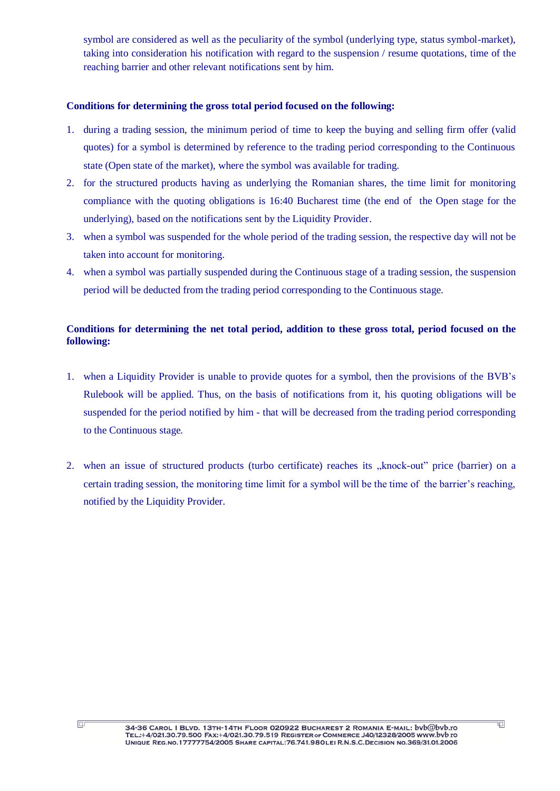symbol are considered as well as the peculiarity of the symbol (underlying type, status symbol-market), taking into consideration his notification with regard to the suspension / resume quotations, time of the reaching barrier and other relevant notifications sent by him.

# **Conditions for determining the gross total period focused on the following:**

- 1. during a trading session, the minimum period of time to keep the buying and selling firm offer (valid quotes) for a symbol is determined by reference to the trading period corresponding to the Continuous state (Open state of the market), where the symbol was available for trading.
- 2. for the structured products having as underlying the Romanian shares, the time limit for monitoring compliance with the quoting obligations is 16:40 Bucharest time (the end of the Open stage for the underlying), based on the notifications sent by the Liquidity Provider.
- 3. when a symbol was suspended for the whole period of the trading session, the respective day will not be taken into account for monitoring.
- 4. when a symbol was partially suspended during the Continuous stage of a trading session, the suspension period will be deducted from the trading period corresponding to the Continuous stage.

# **Conditions for determining the net total period, addition to these gross total, period focused on the following:**

- 1. when a Liquidity Provider is unable to provide quotes for a symbol, then the provisions of the BVB's Rulebook will be applied. Thus, on the basis of notifications from it, his quoting obligations will be suspended for the period notified by him - that will be decreased from the trading period corresponding to the Continuous stage.
- 2. when an issue of structured products (turbo certificate) reaches its "knock-out" price (barrier) on a certain trading session, the monitoring time limit for a symbol will be the time of the barrier's reaching, notified by the Liquidity Provider.

 $\overline{\mathbb{P}}$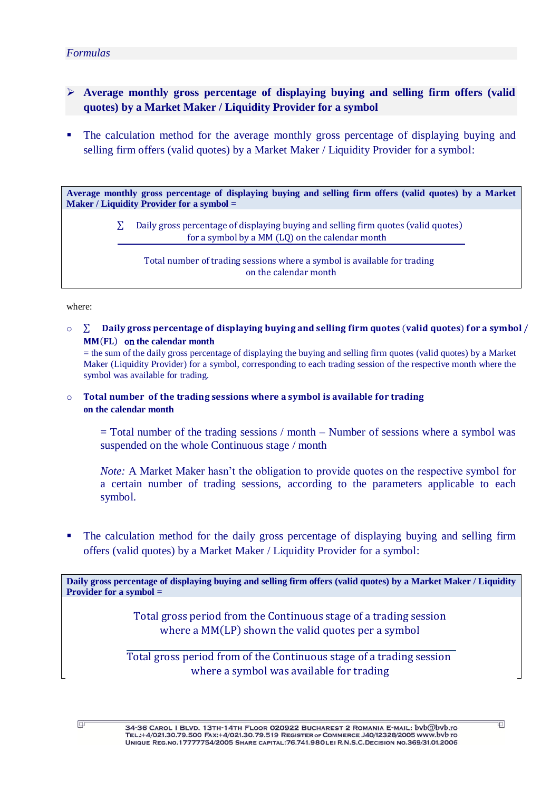## *Formulas*

- **Average monthly gross percentage of displaying buying and selling firm offers (valid quotes) by a Market Maker / Liquidity Provider for a symbol**
- The calculation method for the average monthly gross percentage of displaying buying and selling firm offers (valid quotes) by a Market Maker / Liquidity Provider for a symbol:

**Average monthly gross percentage of displaying buying and selling firm offers (valid quotes) by a Market Maker / Liquidity Provider for a symbol =** 

> $\Sigma$  Daily gross percentage of displaying buying and selling firm quotes (valid quotes) for a symbol by a  $MM$  (LO) on the calendar month

Total number of trading sessions where a symbol is available for trading on the calendar month

#### where:

 $\overline{\mathbb{P}}$ 

 $\circ$   $\Sigma$  Daily gross percentage of displaying buying and selling firm quotes (valid quotes) for a symbol / MM(FL) on the calendar month

= the sum of the daily gross percentage of displaying the buying and selling firm quotes (valid quotes) by a Market Maker (Liquidity Provider) for a symbol, corresponding to each trading session of the respective month where the symbol was available for trading.

 $\circ$  Total number of the trading sessions where a symbol is available for trading **on the calendar month**

 $=$  Total number of the trading sessions / month – Number of sessions where a symbol was suspended on the whole Continuous stage / month

*Note:* A Market Maker hasn't the obligation to provide quotes on the respective symbol for a certain number of trading sessions, according to the parameters applicable to each symbol.

 The calculation method for the daily gross percentage of displaying buying and selling firm offers (valid quotes) by a Market Maker / Liquidity Provider for a symbol:

**Daily gross percentage of displaying buying and selling firm offers (valid quotes) by a Market Maker / Liquidity Provider for a symbol =** 

> Total gross period from the Continuous stage of a trading session where a  $MM(LP)$  shown the valid quotes per a symbol

Total gross period from of the Continuous stage of a trading session where a symbol was available for trading